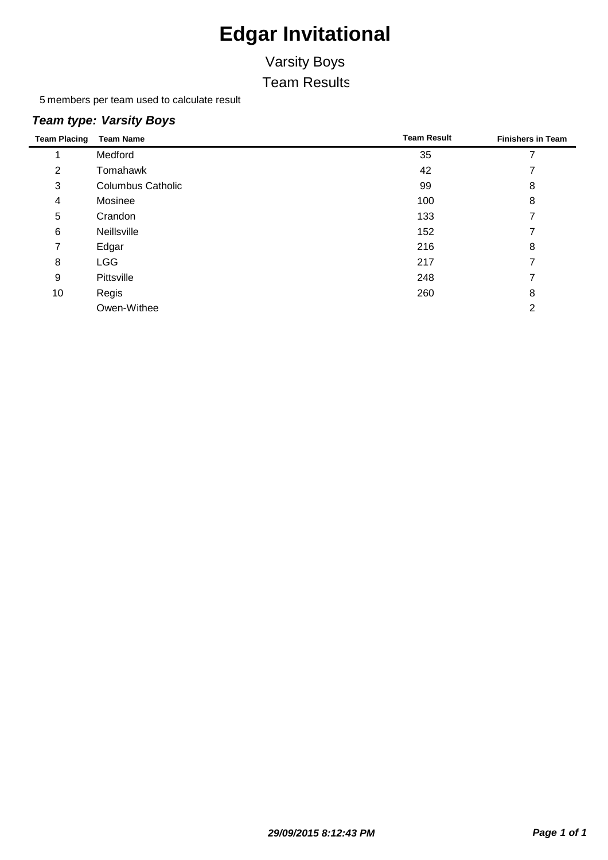# Varsity Boys

Team Results

members per team used to calculate result

#### *Team type: Varsity Boys*

| <b>Team Placing</b> | <b>Team Name</b>         | <b>Team Result</b> | <b>Finishers in Team</b> |
|---------------------|--------------------------|--------------------|--------------------------|
|                     | Medford                  | 35                 | ⇁                        |
| 2                   | Tomahawk                 | 42                 |                          |
| 3                   | <b>Columbus Catholic</b> | 99                 | 8                        |
| 4                   | Mosinee                  | 100                | 8                        |
| 5                   | Crandon                  | 133                |                          |
| 6                   | Neillsville              | 152                |                          |
| 7                   | Edgar                    | 216                | 8                        |
| 8                   | <b>LGG</b>               | 217                |                          |
| 9                   | Pittsville               | 248                |                          |
| 10                  | Regis                    | 260                | 8                        |
|                     | Owen-Withee              |                    | っ                        |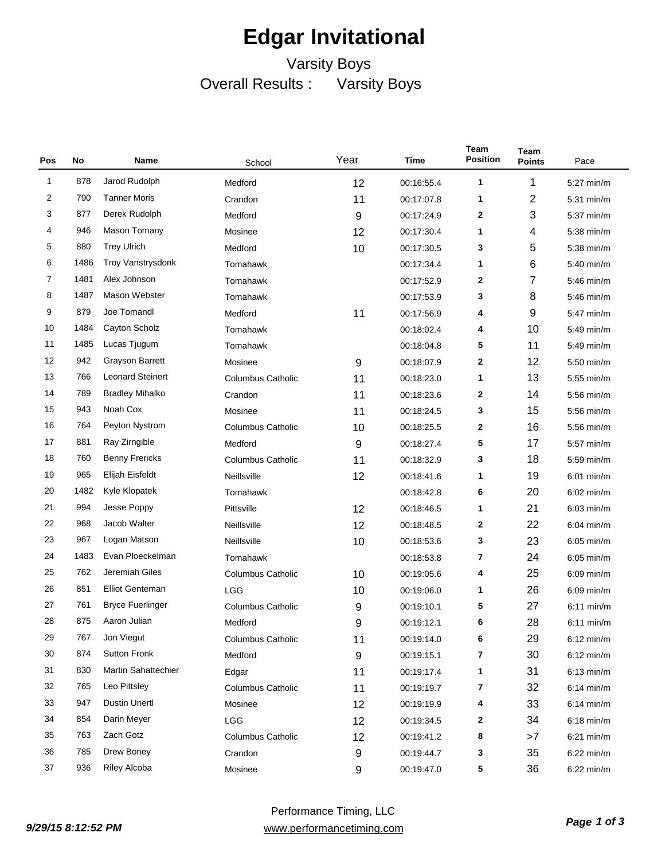### Varsity Boys Overall Results : Varsity Boys

| Pos | No   | Name                     | School                   | Year | Time       | Team<br><b>Position</b> | Team<br><b>Points</b> | Pace                 |
|-----|------|--------------------------|--------------------------|------|------------|-------------------------|-----------------------|----------------------|
| 1   | 878  | Jarod Rudolph            | Medford                  | 12   | 00:16:55.4 | 1                       | 1                     | 5:27 min/m           |
| 2   | 790  | <b>Tanner Moris</b>      | Crandon                  | 11   | 00:17:07.8 | 1                       | 2                     | 5:31 min/m           |
| 3   | 877  | Derek Rudolph            | Medford                  | 9    | 00:17:24.9 | 2                       | 3                     | $5:37$ min/m         |
| 4   | 946  | Mason Tomany             | Mosinee                  | 12   | 00:17:30.4 | 1                       | 4                     | 5:38 min/m           |
| 5   | 880  | <b>Trey Ulrich</b>       | Medford                  | 10   | 00:17:30.5 | 3                       | 5                     | 5:38 min/m           |
| 6   | 1486 | <b>Troy Vanstrysdonk</b> | Tomahawk                 |      | 00:17:34.4 | 1                       | 6                     | 5:40 min/m           |
| 7   | 1481 | Alex Johnson             | Tomahawk                 |      | 00:17:52.9 | 2                       | 7                     | 5:46 min/m           |
| 8   | 1487 | Mason Webster            | Tomahawk                 |      | 00:17:53.9 | 3                       | 8                     | 5:46 min/m           |
| 9   | 879  | Joe Tomandl              | Medford                  | 11   | 00:17:56.9 | 4                       | 9                     | 5:47 min/m           |
| 10  | 1484 | Cayton Scholz            | Tomahawk                 |      | 00:18:02.4 | 4                       | 10                    | 5:49 min/m           |
| 11  | 1485 | Lucas Tjugum             | Tomahawk                 |      | 00:18:04.8 | 5                       | 11                    | 5:49 min/m           |
| 12  | 942  | Grayson Barrett          | Mosinee                  | 9    | 00:18:07.9 | 2                       | 12                    | 5:50 min/m           |
| 13  | 766  | <b>Leonard Steinert</b>  | <b>Columbus Catholic</b> | 11   | 00:18:23.0 | 1                       | 13                    | $5:55$ min/m         |
| 14  | 789  | <b>Bradley Mihalko</b>   | Crandon                  | 11   | 00:18:23.6 | 2                       | 14                    | 5:56 min/m           |
| 15  | 943  | Noah Cox                 | Mosinee                  | 11   | 00:18:24.5 | 3                       | 15                    | 5:56 min/m           |
| 16  | 764  | Peyton Nystrom           | <b>Columbus Catholic</b> | 10   | 00:18:25.5 | 2                       | 16                    | $5:56$ min/m         |
| 17  | 881  | Ray Zirngible            | Medford                  | 9    | 00:18:27.4 | 5                       | 17                    | 5:57 min/m           |
| 18  | 760  | <b>Benny Frericks</b>    | <b>Columbus Catholic</b> | 11   | 00:18:32.9 | 3                       | 18                    | 5:59 min/m           |
| 19  | 965  | Elijah Eisfeldt          | Neillsville              | 12   | 00:18:41.6 | 1                       | 19                    | $6:01$ min/m         |
| 20  | 1482 | Kyle Klopatek            | Tomahawk                 |      | 00:18:42.8 | 6                       | 20                    | $6:02$ min/m         |
| 21  | 994  | Jesse Poppy              | Pittsville               | 12   | 00:18:46.5 | 1                       | 21                    | $6:03$ min/m         |
| 22  | 968  | Jacob Walter             | Neillsville              | 12   | 00:18:48.5 | 2                       | 22                    | $6:04 \text{ min/m}$ |
| 23  | 967  | Logan Matson             | Neillsville              | 10   | 00:18:53.6 | 3                       | 23                    | $6:05$ min/m         |
| 24  | 1483 | Evan Ploeckelman         | Tomahawk                 |      | 00:18:53.8 | 7                       | 24                    | $6:05$ min/m         |
| 25  | 762  | Jeremiah Giles           | <b>Columbus Catholic</b> | 10   | 00:19:05.6 | 4                       | 25                    | $6:09$ min/m         |
| 26  | 851  | <b>Elliot Genteman</b>   | LGG                      | 10   | 00:19:06.0 | 1                       | 26                    | $6:09$ min/m         |
| 27  | 761  | <b>Bryce Fuerlinger</b>  | <b>Columbus Catholic</b> | 9    | 00:19:10.1 | 5                       | 27                    | $6:11$ min/m         |
| 28  | 875  | Aaron Julian             | Medford                  | 9    | 00:19:12.1 | 6                       | 28                    | $6:11$ min/m         |
| 29  | 767  | Jon Viegut               | <b>Columbus Catholic</b> | 11   | 00:19:14.0 | 6                       | 29                    | $6:12$ min/m         |
| 30  | 874  | <b>Sutton Fronk</b>      | Medford                  | 9    | 00:19:15.1 | 7                       | 30                    | $6:12$ min/m         |
| 31  | 830  | Martin Sahattechier      | Edgar                    | 11   | 00:19:17.4 | 1                       | 31                    | $6:13$ min/m         |
| 32  | 765  | Leo Pittsley             | <b>Columbus Catholic</b> | 11   | 00:19:19.7 | 7                       | 32                    | $6:14$ min/m         |
| 33  | 947  | <b>Dustin Unertl</b>     | Mosinee                  | 12   | 00:19:19.9 | 4                       | 33                    | $6:14$ min/m         |
| 34  | 854  | Darin Meyer              | LGG                      | 12   | 00:19:34.5 | 2                       | 34                    | $6:18$ min/m         |
| 35  | 763  | Zach Gotz                | <b>Columbus Catholic</b> | 12   | 00:19:41.2 | 8                       | >7                    | $6:21$ min/m         |
| 36  | 785  | Drew Boney               | Crandon                  | 9    | 00:19:44.7 | 3                       | 35                    | $6:22$ min/m         |
| 37  | 936  | <b>Riley Alcoba</b>      | Mosinee                  | 9    | 00:19:47.0 | 5                       | 36                    | $6:22$ min/m         |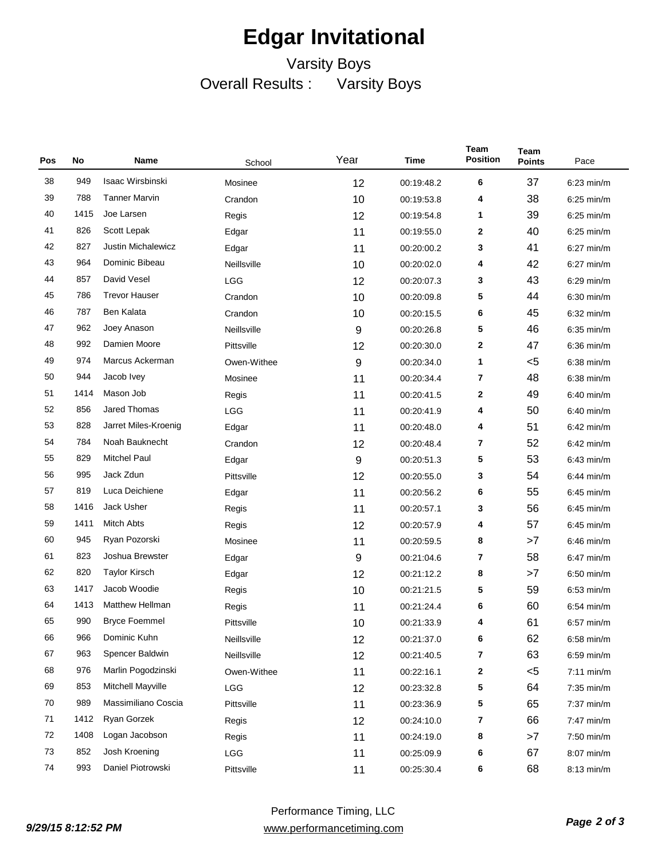### Varsity Boys Overall Results : Varsity Boys

| Pos | No   | Name                      | School      | Year | Time       | Team<br><b>Position</b> | <b>Team</b><br><b>Points</b> | Pace         |
|-----|------|---------------------------|-------------|------|------------|-------------------------|------------------------------|--------------|
| 38  | 949  | Isaac Wirsbinski          | Mosinee     | 12   | 00:19:48.2 | 6                       | 37                           | $6:23$ min/m |
| 39  | 788  | <b>Tanner Marvin</b>      | Crandon     | 10   | 00:19:53.8 | 4                       | 38                           | $6:25$ min/m |
| 40  | 1415 | Joe Larsen                | Regis       | 12   | 00:19:54.8 | 1                       | 39                           | $6:25$ min/m |
| 41  | 826  | Scott Lepak               | Edgar       | 11   | 00:19:55.0 | 2                       | 40                           | $6:25$ min/m |
| 42  | 827  | <b>Justin Michalewicz</b> | Edgar       | 11   | 00:20:00.2 | 3                       | 41                           | $6:27$ min/m |
| 43  | 964  | Dominic Bibeau            | Neillsville | 10   | 00:20:02.0 | 4                       | 42                           | $6:27$ min/m |
| 44  | 857  | David Vesel               | <b>LGG</b>  | 12   | 00:20:07.3 | 3                       | 43                           | $6:29$ min/m |
| 45  | 786  | <b>Trevor Hauser</b>      | Crandon     | 10   | 00:20:09.8 | 5                       | 44                           | $6:30$ min/m |
| 46  | 787  | <b>Ben Kalata</b>         | Crandon     | 10   | 00:20:15.5 | 6                       | 45                           | $6:32$ min/m |
| 47  | 962  | Joey Anason               | Neillsville | 9    | 00:20:26.8 | 5                       | 46                           | $6:35$ min/m |
| 48  | 992  | Damien Moore              | Pittsville  | 12   | 00:20:30.0 | $\mathbf 2$             | 47                           | $6:36$ min/m |
| 49  | 974  | Marcus Ackerman           | Owen-Withee | 9    | 00:20:34.0 | 1                       | $5$                          | $6:38$ min/m |
| 50  | 944  | Jacob Ivey                | Mosinee     | 11   | 00:20:34.4 | 7                       | 48                           | $6:38$ min/m |
| 51  | 1414 | Mason Job                 | Regis       | 11   | 00:20:41.5 | 2                       | 49                           | $6:40$ min/m |
| 52  | 856  | Jared Thomas              | <b>LGG</b>  | 11   | 00:20:41.9 | 4                       | 50                           | $6:40$ min/m |
| 53  | 828  | Jarret Miles-Kroenig      | Edgar       | 11   | 00:20:48.0 | 4                       | 51                           | $6:42$ min/m |
| 54  | 784  | Noah Bauknecht            | Crandon     | 12   | 00:20:48.4 | 7                       | 52                           | $6:42$ min/m |
| 55  | 829  | <b>Mitchel Paul</b>       | Edgar       | 9    | 00:20:51.3 | 5                       | 53                           | $6:43$ min/m |
| 56  | 995  | Jack Zdun                 | Pittsville  | 12   | 00:20:55.0 | 3                       | 54                           | $6:44$ min/m |
| 57  | 819  | Luca Deichiene            | Edgar       | 11   | 00:20:56.2 | 6                       | 55                           | $6:45$ min/m |
| 58  | 1416 | Jack Usher                | Regis       | 11   | 00:20:57.1 | 3                       | 56                           | $6:45$ min/m |
| 59  | 1411 | <b>Mitch Abts</b>         | Regis       | 12   | 00:20:57.9 | 4                       | 57                           | $6:45$ min/m |
| 60  | 945  | Ryan Pozorski             | Mosinee     | 11   | 00:20:59.5 | 8                       | >7                           | $6:46$ min/m |
| 61  | 823  | Joshua Brewster           | Edgar       | 9    | 00:21:04.6 | 7                       | 58                           | $6:47$ min/m |
| 62  | 820  | <b>Taylor Kirsch</b>      | Edgar       | 12   | 00:21:12.2 | 8                       | >7                           | $6:50$ min/m |
| 63  | 1417 | Jacob Woodie              | Regis       | 10   | 00:21:21.5 | 5                       | 59                           | $6:53$ min/m |
| 64  | 1413 | <b>Matthew Hellman</b>    | Regis       | 11   | 00:21:24.4 | 6                       | 60                           | $6:54$ min/m |
| 65  | 990  | <b>Bryce Foemmel</b>      | Pittsville  | 10   | 00:21:33.9 | 4                       | 61                           | $6:57$ min/m |
| 66  | 966  | Dominic Kuhn              | Neillsville | 12   | 00:21:37.0 | 6                       | 62                           | $6:58$ min/m |
| 67  | 963  | Spencer Baldwin           | Neillsville | 12   | 00:21:40.5 | 7                       | 63                           | $6:59$ min/m |
| 68  | 976  | Marlin Pogodzinski        | Owen-Withee | 11   | 00:22:16.1 | 2                       | $5$                          | $7:11$ min/m |
| 69  | 853  | Mitchell Mayville         | <b>LGG</b>  | 12   | 00:23:32.8 | 5                       | 64                           | 7:35 min/m   |
| 70  | 989  | Massimiliano Coscia       | Pittsville  | 11   | 00:23:36.9 | 5                       | 65                           | 7:37 min/m   |
| 71  | 1412 | Ryan Gorzek               | Regis       | 12   | 00:24:10.0 | 7                       | 66                           | 7:47 min/m   |
| 72  | 1408 | Logan Jacobson            | Regis       | 11   | 00:24:19.0 | 8                       | >7                           | 7:50 min/m   |
| 73  | 852  | Josh Kroening             | LGG         | 11   | 00:25:09.9 | 6                       | 67                           | 8:07 min/m   |
| 74  | 993  | Daniel Piotrowski         | Pittsville  | 11   | 00:25:30.4 | 6                       | 68                           | $8:13$ min/m |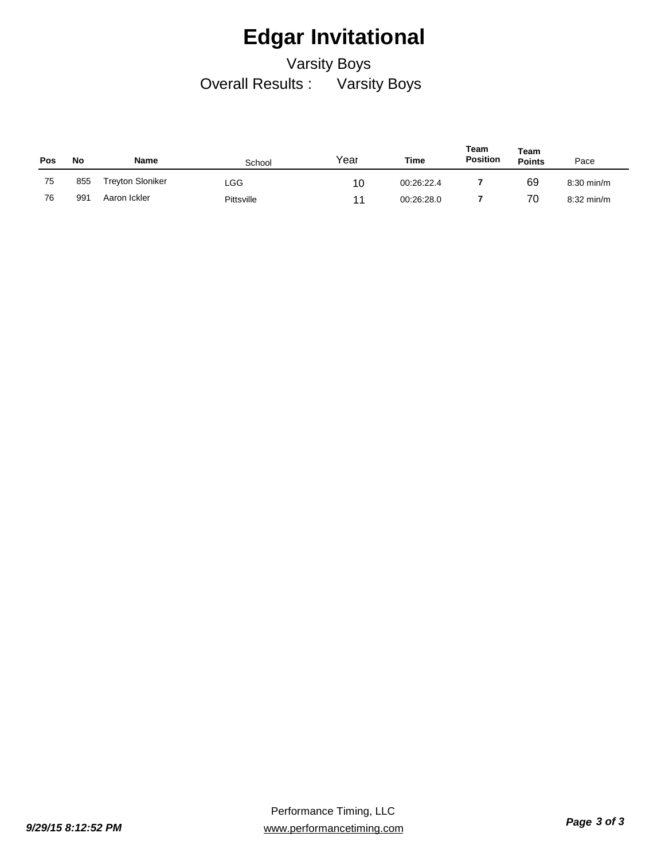Varsity Boys Overall Results : Varsity Boys

| <b>Pos</b> | No  | Name                    | School     | Year | Time       | Team<br><b>Position</b> | Team<br><b>Points</b> | Pace         |
|------------|-----|-------------------------|------------|------|------------|-------------------------|-----------------------|--------------|
| 75         | 855 | <b>Treyton Sloniker</b> | LGG.       | 10   | 00:26:22.4 |                         | 69                    | $8:30$ min/m |
| 76         | 991 | Aaron Ickler            | Pittsville | 11   | 00:26:28.0 |                         | 70                    | $8:32$ min/m |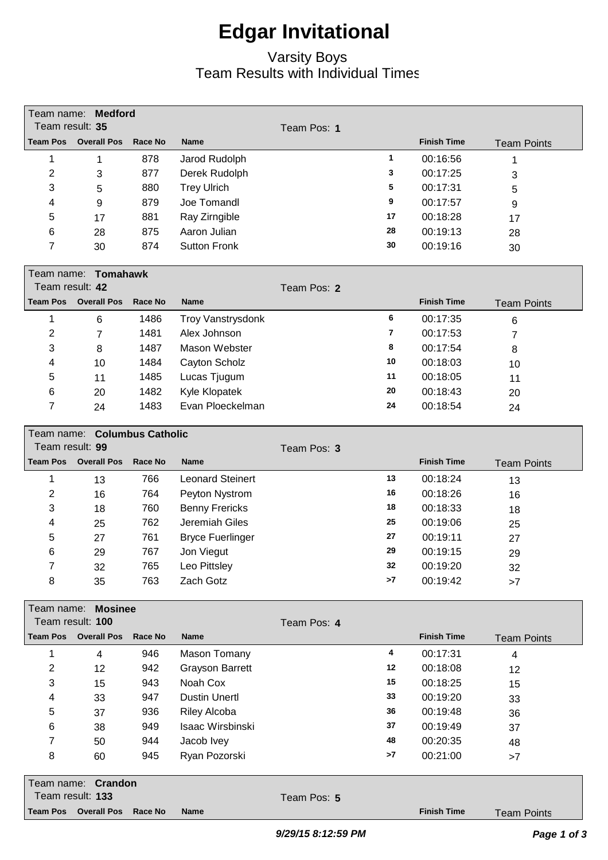#### Varsity Boys Team Results with Individual Times

| Team name: Medford                                                     |    |                    |                    |  |  |  |  |  |
|------------------------------------------------------------------------|----|--------------------|--------------------|--|--|--|--|--|
| Team result: 35<br>Team Pos: 1                                         |    |                    |                    |  |  |  |  |  |
| <b>Team Pos</b><br><b>Overall Pos</b><br>Race No<br><b>Name</b>        |    | <b>Finish Time</b> | <b>Team Points</b> |  |  |  |  |  |
| 1<br>878<br>Jarod Rudolph<br>1                                         | 1  | 00:16:56           | 1                  |  |  |  |  |  |
| $\overline{c}$<br>877<br>Derek Rudolph<br>3                            | 3  | 00:17:25           | 3                  |  |  |  |  |  |
| 3<br>880<br><b>Trey Ulrich</b><br>5                                    | 5  | 00:17:31           | 5                  |  |  |  |  |  |
| 879<br>Joe Tomandl<br>4<br>9                                           | 9  | 00:17:57           | 9                  |  |  |  |  |  |
| 5<br>881<br>Ray Zirngible<br>17                                        | 17 | 00:18:28           | 17                 |  |  |  |  |  |
| Aaron Julian<br>875<br>6<br>28                                         | 28 | 00:19:13           | 28                 |  |  |  |  |  |
| 7<br><b>Sutton Fronk</b><br>874<br>30                                  | 30 | 00:19:16           | 30                 |  |  |  |  |  |
| Team name: Tomahawk<br>Team result: 42                                 |    |                    |                    |  |  |  |  |  |
| Team Pos: 2<br><b>Team Pos</b><br><b>Overall Pos</b><br><b>Race No</b> |    | <b>Finish Time</b> |                    |  |  |  |  |  |
| <b>Name</b>                                                            |    |                    | <b>Team Points</b> |  |  |  |  |  |
| 1<br>1486<br>Troy Vanstrysdonk<br>6                                    | 6  | 00:17:35           | $\,6\,$            |  |  |  |  |  |
| 2<br>1481<br>Alex Johnson<br>$\overline{7}$                            | 7  | 00:17:53           | 7                  |  |  |  |  |  |
| 3<br>1487<br>Mason Webster<br>8                                        | 8  | 00:17:54           | 8                  |  |  |  |  |  |
| 1484<br>4<br>Cayton Scholz<br>10                                       | 10 | 00:18:03           | 10                 |  |  |  |  |  |
| 5<br>1485<br>Lucas Tjugum<br>11                                        | 11 | 00:18:05           | 11                 |  |  |  |  |  |
| 6<br>1482<br>Kyle Klopatek<br>20                                       | 20 | 00:18:43           | 20                 |  |  |  |  |  |
| 7<br>Evan Ploeckelman<br>1483<br>24                                    | 24 | 00:18:54           | 24                 |  |  |  |  |  |
| Team name: Columbus Catholic                                           |    |                    |                    |  |  |  |  |  |
| Team result: 99<br>Team Pos: 3                                         |    |                    |                    |  |  |  |  |  |
| <b>Team Pos</b><br><b>Overall Pos</b><br>Race No<br><b>Name</b>        |    | <b>Finish Time</b> | <b>Team Points</b> |  |  |  |  |  |
| <b>Leonard Steinert</b><br>1<br>766<br>13                              | 13 | 00:18:24           | 13                 |  |  |  |  |  |
| 2<br>764<br>Peyton Nystrom<br>16                                       | 16 | 00:18:26           | 16                 |  |  |  |  |  |
| 3<br>760<br><b>Benny Frericks</b><br>18                                | 18 | 00:18:33           | 18                 |  |  |  |  |  |
| Jeremiah Giles<br>762<br>4<br>25                                       | 25 | 00:19:06           | 25                 |  |  |  |  |  |
| 761<br>5<br><b>Bryce Fuerlinger</b><br>27                              | 27 | 00:19:11           | 27                 |  |  |  |  |  |
| 6<br>767<br>Jon Viegut<br>29                                           | 29 | 00:19:15           | 29                 |  |  |  |  |  |
| Leo Pittsley<br>7<br>32<br>765                                         | 32 | 00:19:20           | 32                 |  |  |  |  |  |
| 8<br>763<br>Zach Gotz<br>35                                            | >7 | 00:19:42           | >7                 |  |  |  |  |  |
| Team name: Mosinee                                                     |    |                    |                    |  |  |  |  |  |
| Team result: 100<br>Team Pos: 4                                        |    |                    |                    |  |  |  |  |  |
| <b>Team Pos</b><br><b>Overall Pos</b><br>Race No<br><b>Name</b>        |    | <b>Finish Time</b> | <b>Team Points</b> |  |  |  |  |  |
| 1<br>946<br>Mason Tomany<br>$\overline{\mathbf{4}}$                    | 4  | 00:17:31           | $\overline{4}$     |  |  |  |  |  |
| 2<br><b>Grayson Barrett</b><br>942<br>12                               | 12 | 00:18:08           | 12                 |  |  |  |  |  |
| 3<br>Noah Cox<br>943<br>15                                             | 15 | 00:18:25           | 15                 |  |  |  |  |  |
| <b>Dustin Unertl</b><br>4<br>33<br>947                                 | 33 | 00:19:20           | 33                 |  |  |  |  |  |
| 5<br>936<br><b>Riley Alcoba</b><br>37                                  | 36 | 00:19:48           | 36                 |  |  |  |  |  |
| Isaac Wirsbinski<br>6<br>949<br>38                                     | 37 | 00:19:49           | 37                 |  |  |  |  |  |
| 7<br>944<br>Jacob Ivey<br>50                                           | 48 | 00:20:35           | 48                 |  |  |  |  |  |
| Ryan Pozorski<br>8<br>60<br>945                                        | >7 | 00:21:00           | >7                 |  |  |  |  |  |
| Team name: Crandon                                                     |    |                    |                    |  |  |  |  |  |
| Team result: 133<br>Team Pos: 5                                        |    |                    |                    |  |  |  |  |  |
| <b>Team Pos</b><br><b>Overall Pos</b><br>Race No<br><b>Name</b>        |    | <b>Finish Time</b> | <b>Team Points</b> |  |  |  |  |  |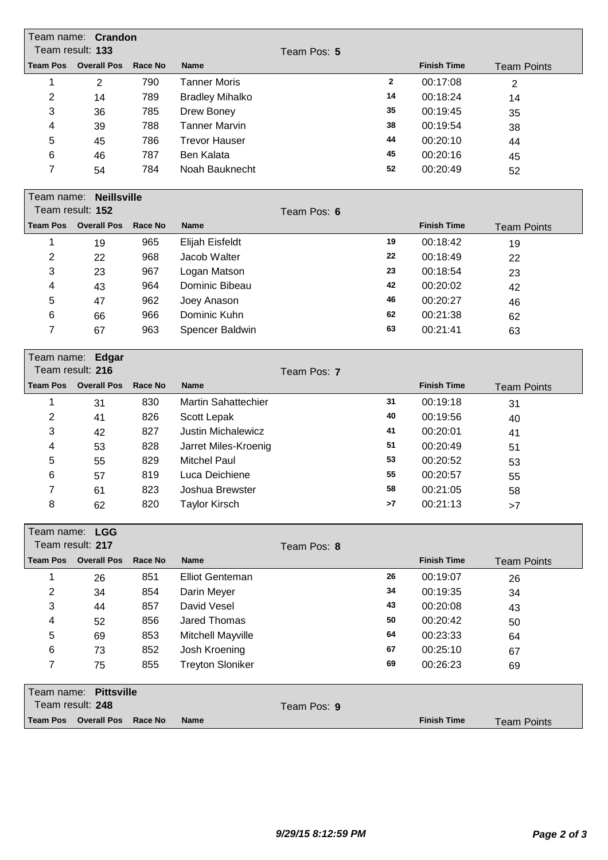|                 | Team name: Crandon<br>Team result: 133 |                |                            |             |              |                    |                    |  |  |
|-----------------|----------------------------------------|----------------|----------------------------|-------------|--------------|--------------------|--------------------|--|--|
| <b>Team Pos</b> | <b>Overall Pos</b>                     | <b>Race No</b> | <b>Name</b>                | Team Pos: 5 |              | <b>Finish Time</b> |                    |  |  |
| 1               |                                        | 790            | <b>Tanner Moris</b>        |             | $\mathbf{2}$ | 00:17:08           | <b>Team Points</b> |  |  |
| $\overline{2}$  | $\overline{2}$<br>14                   | 789            | <b>Bradley Mihalko</b>     |             | 14           | 00:18:24           | 2                  |  |  |
| 3               | 36                                     | 785            | Drew Boney                 |             | 35           | 00:19:45           | 14<br>35           |  |  |
| 4               | 39                                     | 788            | <b>Tanner Marvin</b>       |             | 38           | 00:19:54           | 38                 |  |  |
| 5               | 45                                     | 786            | <b>Trevor Hauser</b>       |             | 44           | 00:20:10           | 44                 |  |  |
| 6               | 46                                     | 787            | <b>Ben Kalata</b>          |             | 45           | 00:20:16           | 45                 |  |  |
| 7               | 54                                     | 784            | Noah Bauknecht             |             | 52           | 00:20:49           | 52                 |  |  |
|                 |                                        |                |                            |             |              |                    |                    |  |  |
|                 | Team name:<br><b>Neillsville</b>       |                |                            |             |              |                    |                    |  |  |
|                 | Team result: 152                       |                |                            | Team Pos: 6 |              |                    |                    |  |  |
| <b>Team Pos</b> | <b>Overall Pos</b>                     | <b>Race No</b> | <b>Name</b>                |             |              | <b>Finish Time</b> | <b>Team Points</b> |  |  |
| 1               | 19                                     | 965            | Elijah Eisfeldt            |             | 19           | 00:18:42           | 19                 |  |  |
| $\overline{2}$  | 22                                     | 968            | Jacob Walter               |             | 22           | 00:18:49           | 22                 |  |  |
| 3               | 23                                     | 967            | Logan Matson               |             | 23           | 00:18:54           | 23                 |  |  |
| 4               | 43                                     | 964            | Dominic Bibeau             |             | 42           | 00:20:02           | 42                 |  |  |
| 5               | 47                                     | 962            | Joey Anason                |             | 46           | 00:20:27           | 46                 |  |  |
| 6               | 66                                     | 966            | Dominic Kuhn               |             | 62           | 00:21:38           | 62                 |  |  |
| $\overline{7}$  | 67                                     | 963            | Spencer Baldwin            |             | 63           | 00:21:41           | 63                 |  |  |
|                 | Team name: Edgar                       |                |                            |             |              |                    |                    |  |  |
|                 | Team result: 216                       |                |                            | Team Pos: 7 |              |                    |                    |  |  |
| <b>Team Pos</b> | <b>Overall Pos</b>                     | <b>Race No</b> | <b>Name</b>                |             |              | <b>Finish Time</b> | <b>Team Points</b> |  |  |
| 1               | 31                                     | 830            | <b>Martin Sahattechier</b> |             | 31           | 00:19:18           | 31                 |  |  |
| $\overline{2}$  | 41                                     | 826            | Scott Lepak                |             | 40           | 00:19:56           | 40                 |  |  |
|                 |                                        |                |                            |             |              |                    |                    |  |  |
| 3               | 42                                     | 827            | Justin Michalewicz         |             | 41           | 00:20:01           | 41                 |  |  |
| 4               | 53                                     | 828            | Jarret Miles-Kroenig       |             | 51           | 00:20:49           | 51                 |  |  |
| 5               | 55                                     | 829            | <b>Mitchel Paul</b>        |             | 53           | 00:20:52           | 53                 |  |  |
| 6               | 57                                     | 819            | Luca Deichiene             |             | 55           | 00:20:57           | 55                 |  |  |
| 7               | 61                                     | 823            | Joshua Brewster            |             | 58           | 00:21:05           | 58                 |  |  |
| 8               | 62                                     | 820            | <b>Taylor Kirsch</b>       |             | >7           | 00:21:13           | >7                 |  |  |
|                 | Team name: LGG                         |                |                            |             |              |                    |                    |  |  |
|                 | Team result: 217                       |                |                            | Team Pos: 8 |              |                    |                    |  |  |
| <b>Team Pos</b> | <b>Overall Pos</b>                     | <b>Race No</b> | <b>Name</b>                |             |              | <b>Finish Time</b> | <b>Team Points</b> |  |  |
| 1               | 26                                     | 851            | <b>Elliot Genteman</b>     |             | 26           | 00:19:07           | 26                 |  |  |
| $\overline{2}$  | 34                                     | 854            | Darin Meyer                |             | 34           | 00:19:35           | 34                 |  |  |
| 3               | 44                                     | 857            | David Vesel                |             | 43           | 00:20:08           | 43                 |  |  |
| 4               | 52                                     | 856            | <b>Jared Thomas</b>        |             | 50           | 00:20:42           | 50                 |  |  |
| 5               | 69                                     | 853            | Mitchell Mayville          |             | 64           | 00:23:33           | 64                 |  |  |
| 6               | 73                                     | 852            | Josh Kroening              |             | 67           | 00:25:10           | 67                 |  |  |
| 7               | 75                                     | 855            | <b>Treyton Sloniker</b>    |             | 69           | 00:26:23           | 69                 |  |  |
|                 | Team name: Pittsville                  |                |                            |             |              |                    |                    |  |  |
|                 | Team result: 248                       |                |                            | Team Pos: 9 |              |                    |                    |  |  |